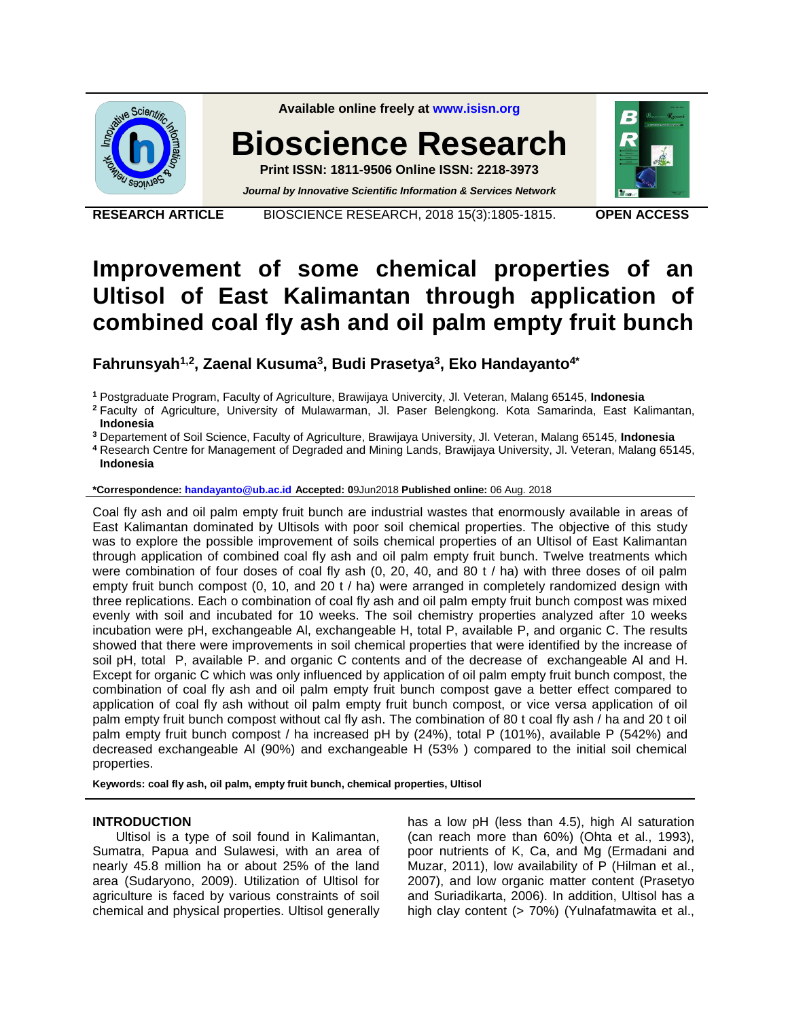

**Available online freely at [www.isisn.org](http://www.isisn.org/)**

# **Bioscience Research**

**Print ISSN: 1811-9506 Online ISSN: 2218-3973** *Journal by Innovative Scientific Information & Services Network*



**RESEARCH ARTICLE** BIOSCIENCE RESEARCH, 2018 15(3):1805-1815. **OPEN ACCESS**

# **Improvement of some chemical properties of an Ultisol of East Kalimantan through application of combined coal fly ash and oil palm empty fruit bunch**

**Fahrunsyah1,2, Zaenal Kusuma<sup>3</sup> , Budi Prasetya<sup>3</sup> , Eko Handayanto4\***

**<sup>1</sup>** Postgraduate Program, Faculty of Agriculture, Brawijaya Univercity, Jl. Veteran, Malang 65145, **Indonesia**

**<sup>2</sup>** Faculty of Agriculture, University of Mulawarman, Jl. Paser Belengkong. Kota Samarinda, East Kalimantan, **Indonesia**

**<sup>3</sup>** Departement of Soil Science, Faculty of Agriculture, Brawijaya University, Jl. Veteran, Malang 65145, **Indonesia**

**<sup>4</sup>** Research Centre for Management of Degraded and Mining Lands, Brawijaya University, Jl. Veteran, Malang 65145, **Indonesia**

**\*Correspondence: [handayanto@ub.ac.id](handayanto@ub.ac.id%20) Accepted: 0**9Jun2018 **Published online:** 06 Aug. 2018

Coal fly ash and oil palm empty fruit bunch are industrial wastes that enormously available in areas of East Kalimantan dominated by Ultisols with poor soil chemical properties. The objective of this study was to explore the possible improvement of soils chemical properties of an Ultisol of East Kalimantan through application of combined coal fly ash and oil palm empty fruit bunch. Twelve treatments which were combination of four doses of coal fly ash (0, 20, 40, and 80 t / ha) with three doses of oil palm empty fruit bunch compost (0, 10, and 20 t / ha) were arranged in completely randomized design with three replications. Each o combination of coal fly ash and oil palm empty fruit bunch compost was mixed evenly with soil and incubated for 10 weeks. The soil chemistry properties analyzed after 10 weeks incubation were pH, exchangeable Al, exchangeable H, total P, available P, and organic C. The results showed that there were improvements in soil chemical properties that were identified by the increase of soil pH, total P, available P. and organic C contents and of the decrease of exchangeable AI and H. Except for organic C which was only influenced by application of oil palm empty fruit bunch compost, the combination of coal fly ash and oil palm empty fruit bunch compost gave a better effect compared to application of coal fly ash without oil palm empty fruit bunch compost, or vice versa application of oil palm empty fruit bunch compost without cal fly ash. The combination of 80 t coal fly ash / ha and 20 t oil palm empty fruit bunch compost / ha increased pH by (24%), total P (101%), available P (542%) and decreased exchangeable Al (90%) and exchangeable H (53% ) compared to the initial soil chemical properties.

**Keywords: coal fly ash, oil palm, empty fruit bunch, chemical properties, Ultisol**

#### **INTRODUCTION**

Ultisol is a type of soil found in Kalimantan, Sumatra, Papua and Sulawesi, with an area of nearly 45.8 million ha or about 25% of the land area (Sudaryono, 2009). Utilization of Ultisol for agriculture is faced by various constraints of soil chemical and physical properties. Ultisol generally

has a low pH (less than 4.5), high Al saturation (can reach more than 60%) (Ohta et al., 1993), poor nutrients of K, Ca, and Mg (Ermadani and Muzar, 2011), low availability of P (Hilman et al., 2007), and low organic matter content (Prasetyo and Suriadikarta, 2006). In addition, Ultisol has a high clay content (> 70%) (Yulnafatmawita et al.,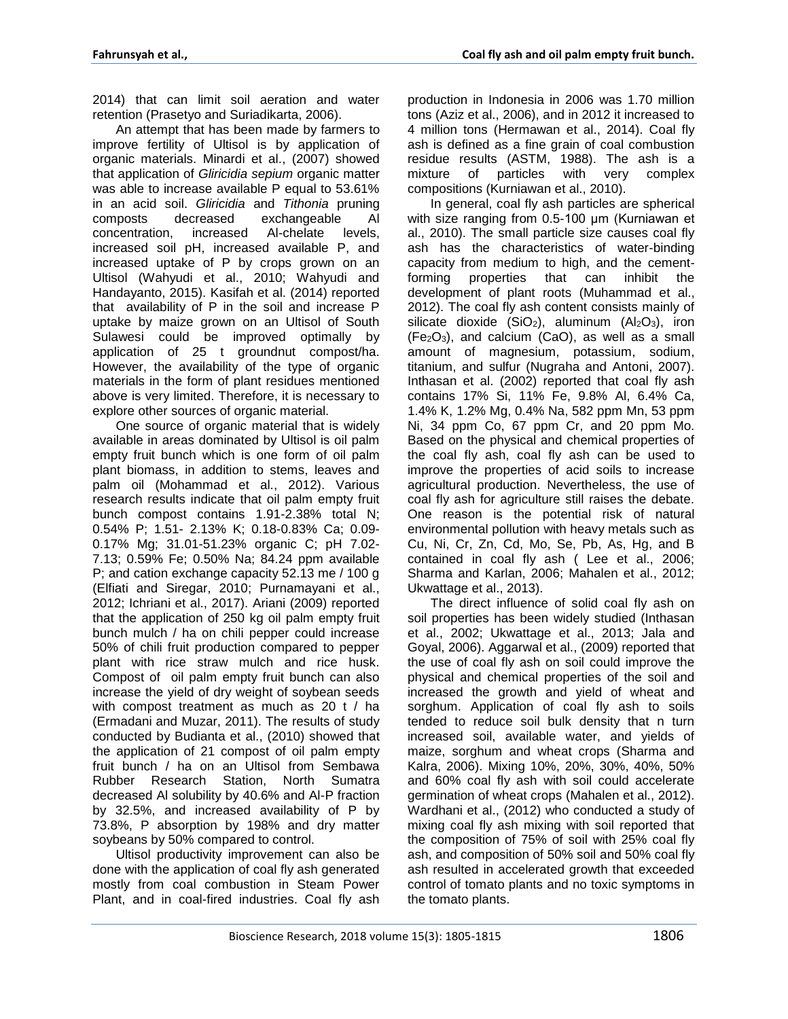2014) that can limit soil aeration and water retention (Prasetyo and Suriadikarta, 2006).

An attempt that has been made by farmers to improve fertility of Ultisol is by application of organic materials. Minardi et al., (2007) showed that application of *Gliricidia sepium* organic matter was able to increase available P equal to 53.61% in an acid soil. *Gliricidia* and *Tithonia* pruning composts decreased exchangeable Al concentration, increased Al-chelate levels, increased soil pH, increased available P, and increased uptake of P by crops grown on an Ultisol (Wahyudi et al., 2010; Wahyudi and Handayanto, 2015). Kasifah et al. (2014) reported that availability of P in the soil and increase P uptake by maize grown on an Ultisol of South Sulawesi could be improved optimally by application of 25 t groundnut compost/ha. However, the availability of the type of organic materials in the form of plant residues mentioned above is very limited. Therefore, it is necessary to explore other sources of organic material.

One source of organic material that is widely available in areas dominated by Ultisol is oil palm empty fruit bunch which is one form of oil palm plant biomass, in addition to stems, leaves and palm oil (Mohammad et al., 2012). Various research results indicate that oil palm empty fruit bunch compost contains 1.91-2.38% total N; 0.54% P; 1.51- 2.13% K; 0.18-0.83% Ca; 0.09- 0.17% Mg; 31.01-51.23% organic C; pH 7.02- 7.13; 0.59% Fe; 0.50% Na; 84.24 ppm available P; and cation exchange capacity 52.13 me / 100 g (Elfiati and Siregar, 2010; Purnamayani et al., 2012; Ichriani et al., 2017). Ariani (2009) reported that the application of 250 kg oil palm empty fruit bunch mulch / ha on chili pepper could increase 50% of chili fruit production compared to pepper plant with rice straw mulch and rice husk. Compost of oil palm empty fruit bunch can also increase the yield of dry weight of soybean seeds with compost treatment as much as 20 t / ha (Ermadani and Muzar, 2011). The results of study conducted by Budianta et al., (2010) showed that the application of 21 compost of oil palm empty fruit bunch / ha on an Ultisol from Sembawa Rubber Research Station, North Sumatra decreased Al solubility by 40.6% and Al-P fraction by 32.5%, and increased availability of P by 73.8%, P absorption by 198% and dry matter soybeans by 50% compared to control.

Ultisol productivity improvement can also be done with the application of coal fly ash generated mostly from coal combustion in Steam Power Plant, and in coal-fired industries. Coal fly ash production in Indonesia in 2006 was 1.70 million tons (Aziz et al., 2006), and in 2012 it increased to 4 million tons (Hermawan et al., 2014). Coal fly ash is defined as a fine grain of coal combustion residue results (ASTM, 1988). The ash is a mixture of particles with very complex compositions (Kurniawan et al., 2010).

In general, coal fly ash particles are spherical with size ranging from 0.5-100 μm (Kurniawan et al., 2010). The small particle size causes coal fly ash has the characteristics of water-binding capacity from medium to high, and the cementforming properties that can inhibit the development of plant roots (Muhammad et al., 2012). The coal fly ash content consists mainly of silicate dioxide  $(SiO_2)$ , aluminum  $(AI_2O_3)$ , iron  $(Fe<sub>2</sub>O<sub>3</sub>)$ , and calcium  $(CaO)$ , as well as a small amount of magnesium, potassium, sodium, titanium, and sulfur (Nugraha and Antoni, 2007). Inthasan et al. (2002) reported that coal fly ash contains 17% Si, 11% Fe, 9.8% Al, 6.4% Ca, 1.4% K, 1.2% Mg, 0.4% Na, 582 ppm Mn, 53 ppm Ni, 34 ppm Co, 67 ppm Cr, and 20 ppm Mo. Based on the physical and chemical properties of the coal fly ash, coal fly ash can be used to improve the properties of acid soils to increase agricultural production. Nevertheless, the use of coal fly ash for agriculture still raises the debate. One reason is the potential risk of natural environmental pollution with heavy metals such as Cu, Ni, Cr, Zn, Cd, Mo, Se, Pb, As, Hg, and B contained in coal fly ash ( Lee et al., 2006; Sharma and Karlan, 2006; Mahalen et al., 2012; Ukwattage et al., 2013).

The direct influence of solid coal fly ash on soil properties has been widely studied (Inthasan et al., 2002; Ukwattage et al., 2013; Jala and Goyal, 2006). Aggarwal et al., (2009) reported that the use of coal fly ash on soil could improve the physical and chemical properties of the soil and increased the growth and yield of wheat and sorghum. Application of coal fly ash to soils tended to reduce soil bulk density that n turn increased soil, available water, and yields of maize, sorghum and wheat crops (Sharma and Kalra, 2006). Mixing 10%, 20%, 30%, 40%, 50% and 60% coal fly ash with soil could accelerate germination of wheat crops (Mahalen et al., 2012). Wardhani et al., (2012) who conducted a study of mixing coal fly ash mixing with soil reported that the composition of 75% of soil with 25% coal fly ash, and composition of 50% soil and 50% coal fly ash resulted in accelerated growth that exceeded control of tomato plants and no toxic symptoms in the tomato plants.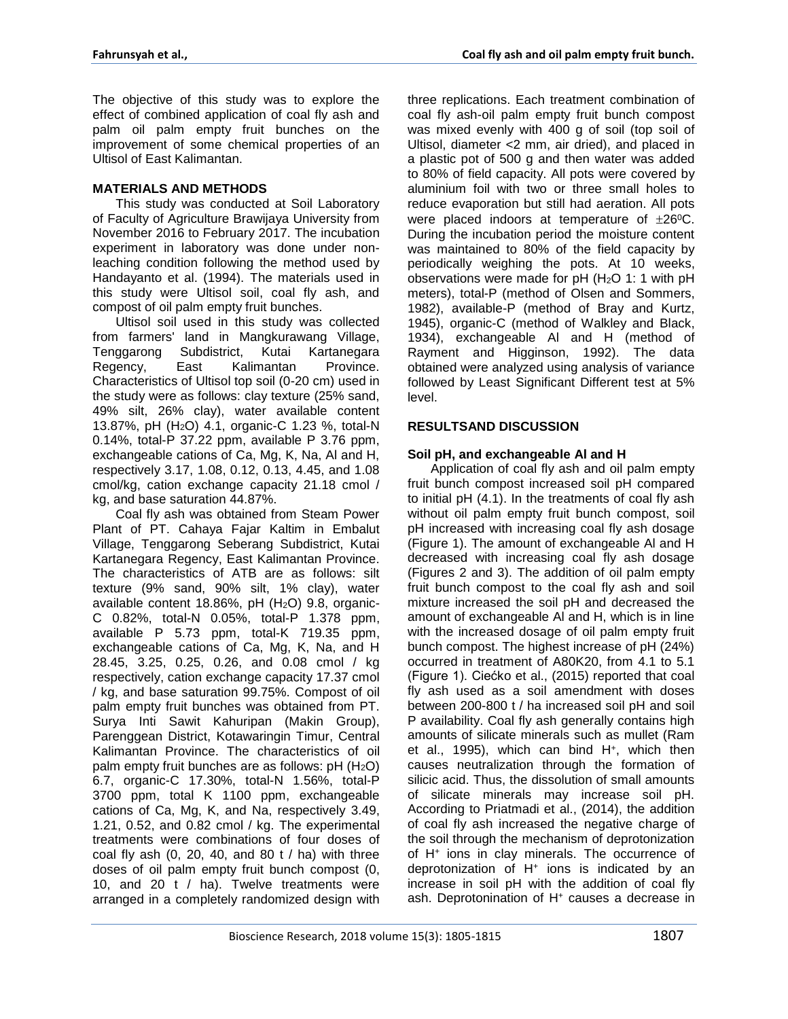The objective of this study was to explore the effect of combined application of coal fly ash and palm oil palm empty fruit bunches on the improvement of some chemical properties of an Ultisol of East Kalimantan.

# **MATERIALS AND METHODS**

This study was conducted at Soil Laboratory of Faculty of Agriculture Brawijaya University from November 2016 to February 2017. The incubation experiment in laboratory was done under nonleaching condition following the method used by Handayanto et al. (1994). The materials used in this study were Ultisol soil, coal fly ash, and compost of oil palm empty fruit bunches.

Ultisol soil used in this study was collected from farmers' land in Mangkurawang Village, Tenggarong Subdistrict, Kutai Kartanegara Regency, East Kalimantan Province. Characteristics of Ultisol top soil (0-20 cm) used in the study were as follows: clay texture (25% sand, 49% silt, 26% clay), water available content 13.87%, pH (H<sub>2</sub>O) 4.1, organic-C 1.23 %, total-N 0.14%, total-P 37.22 ppm, available P 3.76 ppm, exchangeable cations of Ca, Mg, K, Na, Al and H, respectively 3.17, 1.08, 0.12, 0.13, 4.45, and 1.08 cmol/kg, cation exchange capacity 21.18 cmol / kg, and base saturation 44.87%.

Coal fly ash was obtained from Steam Power Plant of PT. Cahaya Fajar Kaltim in Embalut Village, Tenggarong Seberang Subdistrict, Kutai Kartanegara Regency, East Kalimantan Province. The characteristics of ATB are as follows: silt texture (9% sand, 90% silt, 1% clay), water available content 18.86%, pH  $(H<sub>2</sub>O)$  9.8, organic-C 0.82%, total-N 0.05%, total-P 1.378 ppm, available P 5.73 ppm, total-K 719.35 ppm, exchangeable cations of Ca, Mg, K, Na, and H 28.45, 3.25, 0.25, 0.26, and 0.08 cmol / kg respectively, cation exchange capacity 17.37 cmol / kg, and base saturation 99.75%. Compost of oil palm empty fruit bunches was obtained from PT. Surya Inti Sawit Kahuripan (Makin Group), Parenggean District, Kotawaringin Timur, Central Kalimantan Province. The characteristics of oil palm empty fruit bunches are as follows:  $pH(H_2O)$ 6.7, organic-C 17.30%, total-N 1.56%, total-P 3700 ppm, total K 1100 ppm, exchangeable cations of Ca, Mg, K, and Na, respectively 3.49, 1.21, 0.52, and 0.82 cmol / kg. The experimental treatments were combinations of four doses of coal fly ash  $(0, 20, 40,$  and  $80$  t  $/$  ha) with three doses of oil palm empty fruit bunch compost (0, 10, and 20 t / ha). Twelve treatments were arranged in a completely randomized design with three replications. Each treatment combination of coal fly ash-oil palm empty fruit bunch compost was mixed evenly with 400 g of soil (top soil of Ultisol, diameter <2 mm, air dried), and placed in a plastic pot of 500 g and then water was added to 80% of field capacity. All pots were covered by aluminium foil with two or three small holes to reduce evaporation but still had aeration. All pots were placed indoors at temperature of  $\pm 26^{\circ}$ C. During the incubation period the moisture content was maintained to 80% of the field capacity by periodically weighing the pots. At 10 weeks, observations were made for  $pH$  (H<sub>2</sub>O 1: 1 with  $pH$ meters), total-P (method of Olsen and Sommers, 1982), available-P (method of Bray and Kurtz, 1945), organic-C (method of Walkley and Black, 1934), exchangeable Al and H (method of Rayment and Higginson, 1992). The data obtained were analyzed using analysis of variance followed by Least Significant Different test at 5% level.

# **RESULTSAND DISCUSSION**

## **Soil pH, and exchangeable Al and H**

Application of coal fly ash and oil palm empty fruit bunch compost increased soil pH compared to initial pH (4.1). In the treatments of coal fly ash without oil palm empty fruit bunch compost, soil pH increased with increasing coal fly ash dosage (Figure 1). The amount of exchangeable Al and H decreased with increasing coal fly ash dosage (Figures 2 and 3). The addition of oil palm empty fruit bunch compost to the coal fly ash and soil mixture increased the soil pH and decreased the amount of exchangeable Al and H, which is in line with the increased dosage of oil palm empty fruit bunch compost. The highest increase of pH (24%) occurred in treatment of A80K20, from 4.1 to 5.1 (Figure 1). Ciećko et al., (2015) reported that coal fly ash used as a soil amendment with doses between 200-800 t / ha increased soil pH and soil P availability. Coal fly ash generally contains high amounts of silicate minerals such as mullet (Ram et al., 1995), which can bind H<sup>+</sup> , which then causes neutralization through the formation of silicic acid. Thus, the dissolution of small amounts of silicate minerals may increase soil pH. According to Priatmadi et al., (2014), the addition of coal fly ash increased the negative charge of the soil through the mechanism of deprotonization of H<sup>+</sup> ions in clay minerals. The occurrence of deprotonization of H<sup>+</sup> ions is indicated by an increase in soil pH with the addition of coal fly ash. Deprotonination of H<sup>+</sup> causes a decrease in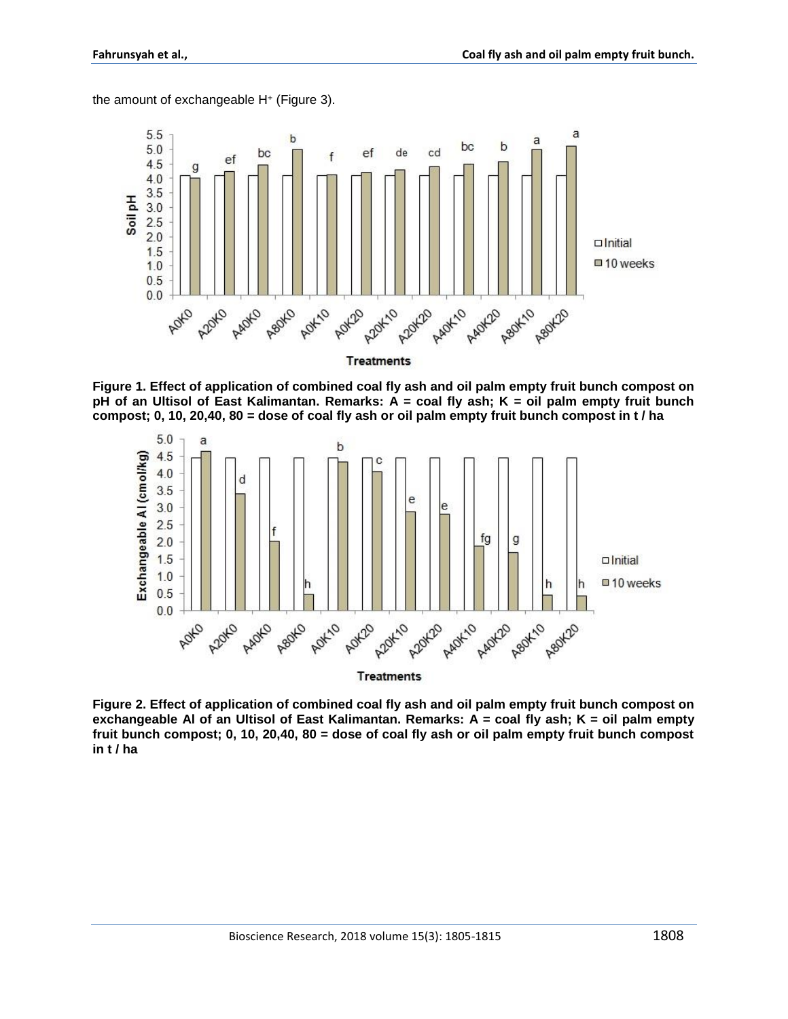the amount of exchangeable H<sup>+</sup> (Figure 3).



**Figure 1. Effect of application of combined coal fly ash and oil palm empty fruit bunch compost on pH of an Ultisol of East Kalimantan. Remarks: A = coal fly ash; K = oil palm empty fruit bunch compost; 0, 10, 20,40, 80 = dose of coal fly ash or oil palm empty fruit bunch compost in t / ha**



**Figure 2. Effect of application of combined coal fly ash and oil palm empty fruit bunch compost on exchangeable Al of an Ultisol of East Kalimantan. Remarks: A = coal fly ash; K = oil palm empty fruit bunch compost; 0, 10, 20,40, 80 = dose of coal fly ash or oil palm empty fruit bunch compost in t / ha**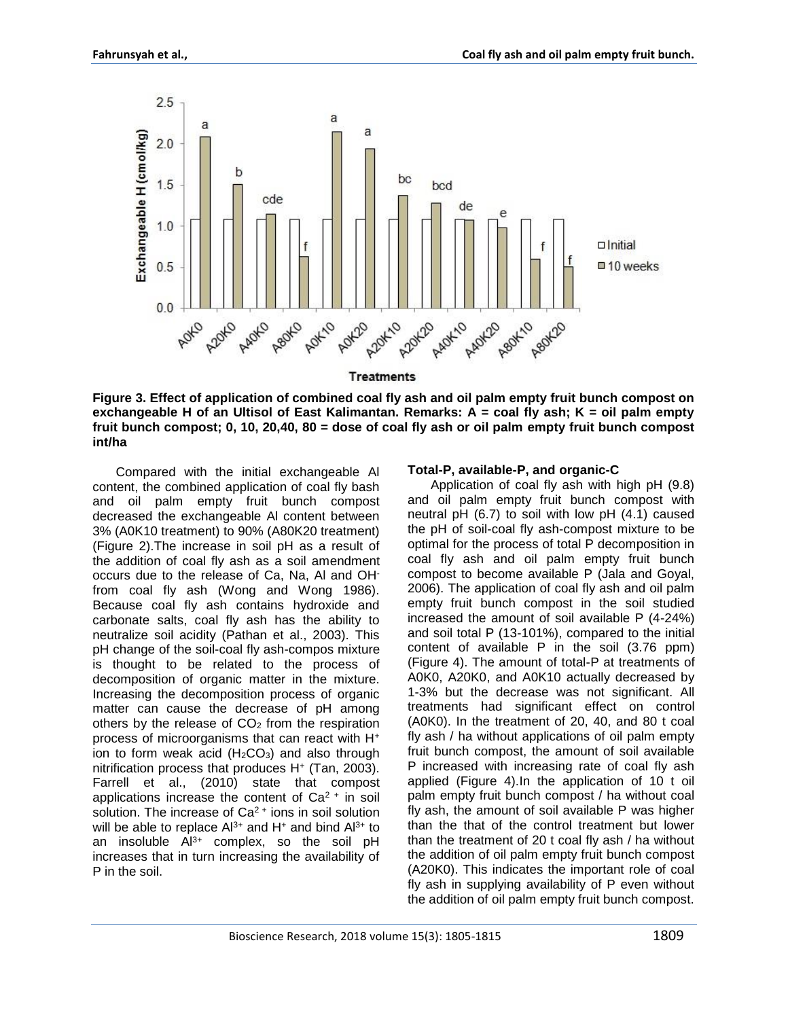

**Figure 3. Effect of application of combined coal fly ash and oil palm empty fruit bunch compost on exchangeable H of an Ultisol of East Kalimantan. Remarks: A = coal fly ash; K = oil palm empty fruit bunch compost; 0, 10, 20,40, 80 = dose of coal fly ash or oil palm empty fruit bunch compost int/ha**

Compared with the initial exchangeable Al content, the combined application of coal fly bash and oil palm empty fruit bunch compost decreased the exchangeable Al content between 3% (A0K10 treatment) to 90% (A80K20 treatment) (Figure 2).The increase in soil pH as a result of the addition of coal fly ash as a soil amendment occurs due to the release of Ca, Na, Al and OHfrom coal fly ash (Wong and Wong 1986). Because coal fly ash contains hydroxide and carbonate salts, coal fly ash has the ability to neutralize soil acidity (Pathan et al., 2003). This pH change of the soil-coal fly ash-compos mixture is thought to be related to the process of decomposition of organic matter in the mixture. Increasing the decomposition process of organic matter can cause the decrease of pH among others by the release of  $CO<sub>2</sub>$  from the respiration process of microorganisms that can react with H<sup>+</sup> ion to form weak acid  $(H<sub>2</sub>CO<sub>3</sub>)$  and also through nitrification process that produces H<sup>+</sup> (Tan, 2003). Farrell et al., (2010) state that compost applications increase the content of  $Ca<sup>2+</sup>$  in soil solution. The increase of  $Ca<sup>2+</sup>$  ions in soil solution will be able to replace  $Al^{3+}$  and  $H^+$  and bind  $Al^{3+}$  to an insoluble Al<sup>3+</sup> complex, so the soil pH increases that in turn increasing the availability of P in the soil.

#### **Total-P, available-P, and organic-C**

Application of coal fly ash with high pH (9.8) and oil palm empty fruit bunch compost with neutral pH (6.7) to soil with low pH (4.1) caused the pH of soil-coal fly ash-compost mixture to be optimal for the process of total P decomposition in coal fly ash and oil palm empty fruit bunch compost to become available P (Jala and Goyal, 2006). The application of coal fly ash and oil palm empty fruit bunch compost in the soil studied increased the amount of soil available P (4-24%) and soil total P (13-101%), compared to the initial content of available P in the soil (3.76 ppm) (Figure 4). The amount of total-P at treatments of A0K0, A20K0, and A0K10 actually decreased by 1-3% but the decrease was not significant. All treatments had significant effect on control (A0K0). In the treatment of 20, 40, and 80 t coal fly ash / ha without applications of oil palm empty fruit bunch compost, the amount of soil available P increased with increasing rate of coal fly ash applied (Figure 4).In the application of 10 t oil palm empty fruit bunch compost / ha without coal fly ash, the amount of soil available P was higher than the that of the control treatment but lower than the treatment of 20 t coal fly ash / ha without the addition of oil palm empty fruit bunch compost (A20K0). This indicates the important role of coal fly ash in supplying availability of P even without the addition of oil palm empty fruit bunch compost.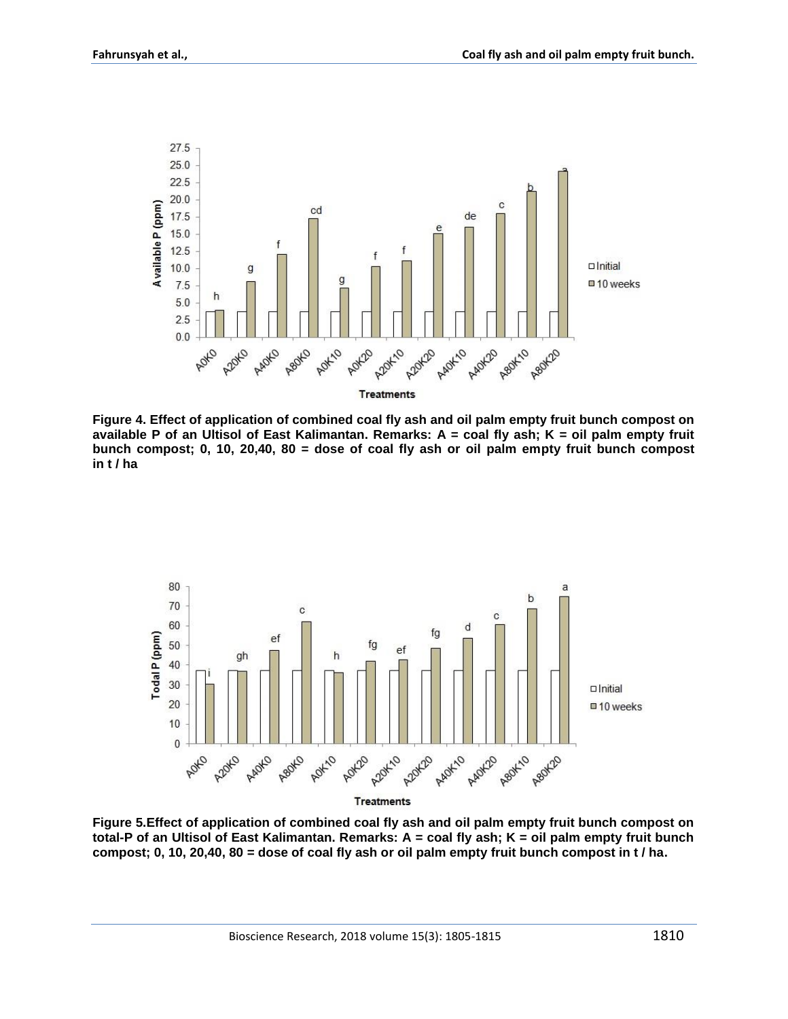

**Figure 4. Effect of application of combined coal fly ash and oil palm empty fruit bunch compost on available P of an Ultisol of East Kalimantan. Remarks: A = coal fly ash; K = oil palm empty fruit bunch compost; 0, 10, 20,40, 80 = dose of coal fly ash or oil palm empty fruit bunch compost in t / ha**



**Figure 5.Effect of application of combined coal fly ash and oil palm empty fruit bunch compost on total-P of an Ultisol of East Kalimantan. Remarks: A = coal fly ash; K = oil palm empty fruit bunch compost; 0, 10, 20,40, 80 = dose of coal fly ash or oil palm empty fruit bunch compost in t / ha.**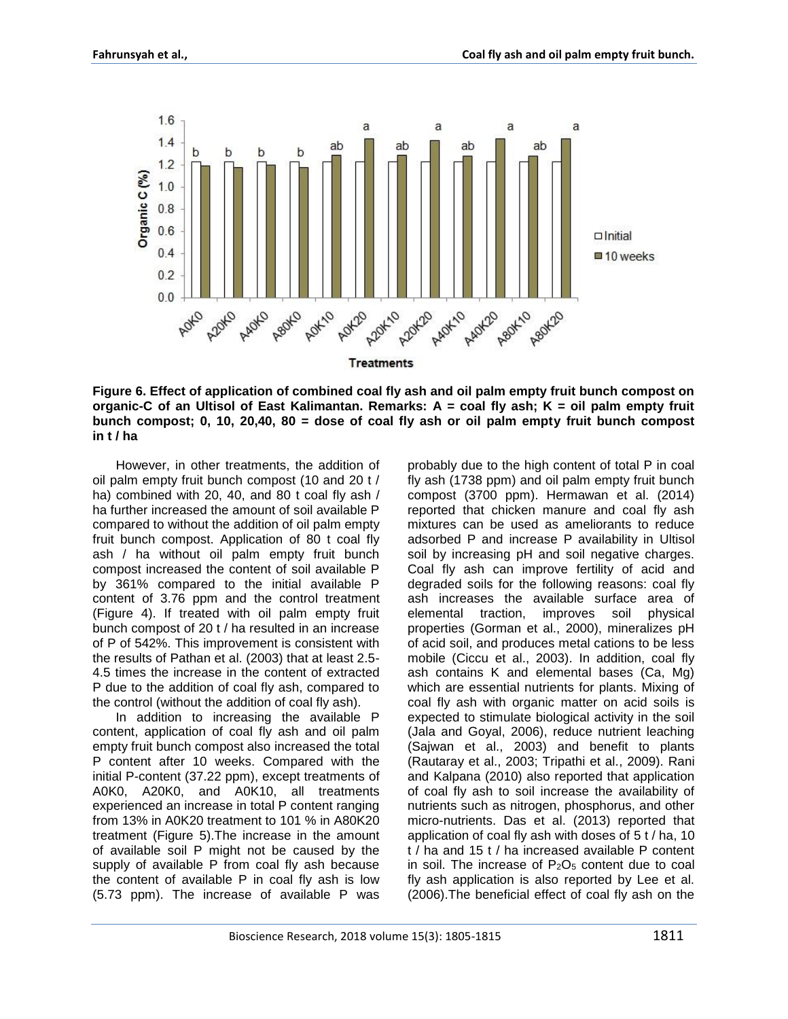

**Figure 6. Effect of application of combined coal fly ash and oil palm empty fruit bunch compost on organic-C of an Ultisol of East Kalimantan. Remarks: A = coal fly ash; K = oil palm empty fruit bunch compost; 0, 10, 20,40, 80 = dose of coal fly ash or oil palm empty fruit bunch compost in t / ha**

However, in other treatments, the addition of oil palm empty fruit bunch compost (10 and 20 t / ha) combined with 20, 40, and 80 t coal fly ash / ha further increased the amount of soil available P compared to without the addition of oil palm empty fruit bunch compost. Application of 80 t coal fly ash / ha without oil palm empty fruit bunch compost increased the content of soil available P by 361% compared to the initial available P content of 3.76 ppm and the control treatment (Figure 4). If treated with oil palm empty fruit bunch compost of 20 t / ha resulted in an increase of P of 542%. This improvement is consistent with the results of Pathan et al. (2003) that at least 2.5- 4.5 times the increase in the content of extracted P due to the addition of coal fly ash, compared to the control (without the addition of coal fly ash).

In addition to increasing the available P content, application of coal fly ash and oil palm empty fruit bunch compost also increased the total P content after 10 weeks. Compared with the initial P-content (37.22 ppm), except treatments of A0K0, A20K0, and A0K10, all treatments experienced an increase in total P content ranging from 13% in A0K20 treatment to 101 % in A80K20 treatment (Figure 5).The increase in the amount of available soil P might not be caused by the supply of available P from coal fly ash because the content of available P in coal fly ash is low (5.73 ppm). The increase of available P was

probably due to the high content of total P in coal fly ash (1738 ppm) and oil palm empty fruit bunch compost (3700 ppm). Hermawan et al. (2014) reported that chicken manure and coal fly ash mixtures can be used as ameliorants to reduce adsorbed P and increase P availability in Ultisol soil by increasing pH and soil negative charges. Coal fly ash can improve fertility of acid and degraded soils for the following reasons: coal fly ash increases the available surface area of elemental traction, improves soil physical properties (Gorman et al., 2000), mineralizes pH of acid soil, and produces metal cations to be less mobile (Ciccu et al., 2003). In addition, coal fly ash contains K and elemental bases (Ca, Mg) which are essential nutrients for plants. Mixing of coal fly ash with organic matter on acid soils is expected to stimulate biological activity in the soil (Jala and Goyal, 2006), reduce nutrient leaching (Sajwan et al., 2003) and benefit to plants (Rautaray et al., 2003; Tripathi et al., 2009). Rani and Kalpana (2010) also reported that application of coal fly ash to soil increase the availability of nutrients such as nitrogen, phosphorus, and other micro-nutrients. Das et al. (2013) reported that application of coal fly ash with doses of 5 t / ha, 10 t / ha and 15 t / ha increased available P content in soil. The increase of  $P_2O_5$  content due to coal fly ash application is also reported by Lee et al. (2006).The beneficial effect of coal fly ash on the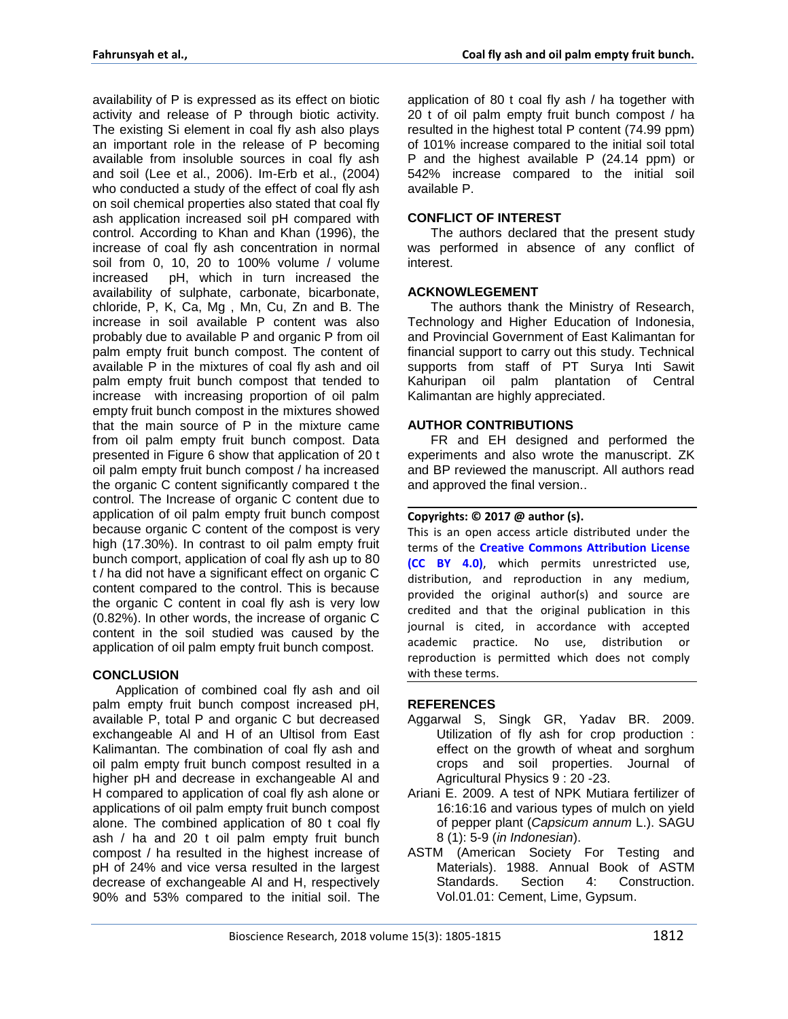availability of P is expressed as its effect on biotic activity and release of P through biotic activity. The existing Si element in coal fly ash also plays an important role in the release of P becoming available from insoluble sources in coal fly ash and soil (Lee et al., 2006). Im-Erb et al., (2004) who conducted a study of the effect of coal fly ash on soil chemical properties also stated that coal fly ash application increased soil pH compared with control. According to Khan and Khan (1996), the increase of coal fly ash concentration in normal soil from 0, 10, 20 to 100% volume / volume increased pH, which in turn increased the availability of sulphate, carbonate, bicarbonate, chloride, P, K, Ca, Mg , Mn, Cu, Zn and B. The increase in soil available P content was also probably due to available P and organic P from oil palm empty fruit bunch compost. The content of available P in the mixtures of coal fly ash and oil palm empty fruit bunch compost that tended to increase with increasing proportion of oil palm empty fruit bunch compost in the mixtures showed that the main source of P in the mixture came from oil palm empty fruit bunch compost. Data presented in Figure 6 show that application of 20 t oil palm empty fruit bunch compost / ha increased the organic C content significantly compared t the control. The Increase of organic C content due to application of oil palm empty fruit bunch compost because organic C content of the compost is very high (17.30%). In contrast to oil palm empty fruit bunch comport, application of coal fly ash up to 80 t / ha did not have a significant effect on organic C content compared to the control. This is because the organic C content in coal fly ash is very low (0.82%). In other words, the increase of organic C content in the soil studied was caused by the application of oil palm empty fruit bunch compost.

#### **CONCLUSION**

Application of combined coal fly ash and oil palm empty fruit bunch compost increased pH, available P, total P and organic C but decreased exchangeable Al and H of an Ultisol from East Kalimantan. The combination of coal fly ash and oil palm empty fruit bunch compost resulted in a higher pH and decrease in exchangeable Al and H compared to application of coal fly ash alone or applications of oil palm empty fruit bunch compost alone. The combined application of 80 t coal fly ash / ha and 20 t oil palm empty fruit bunch compost / ha resulted in the highest increase of pH of 24% and vice versa resulted in the largest decrease of exchangeable Al and H, respectively 90% and 53% compared to the initial soil. The

application of 80 t coal fly ash / ha together with 20 t of oil palm empty fruit bunch compost / ha resulted in the highest total P content (74.99 ppm) of 101% increase compared to the initial soil total P and the highest available P (24.14 ppm) or 542% increase compared to the initial soil available P.

# **CONFLICT OF INTEREST**

The authors declared that the present study was performed in absence of any conflict of interest.

#### **ACKNOWLEGEMENT**

The authors thank the Ministry of Research, Technology and Higher Education of Indonesia, and Provincial Government of East Kalimantan for financial support to carry out this study. Technical supports from staff of PT Surya Inti Sawit Kahuripan oil palm plantation of Central Kalimantan are highly appreciated.

## **AUTHOR CONTRIBUTIONS**

FR and EH designed and performed the experiments and also wrote the manuscript. ZK and BP reviewed the manuscript. All authors read and approved the final version..

#### **Copyrights: © 2017 @ author (s).**

This is an open access article distributed under the terms of the **[Creative Commons Attribution License](https://creativecommons.org/licenses/by/4.0/)  [\(CC BY 4.0\)](https://creativecommons.org/licenses/by/4.0/)**, which permits unrestricted use, distribution, and reproduction in any medium, provided the original author(s) and source are credited and that the original publication in this journal is cited, in accordance with accepted academic practice. No use, distribution or reproduction is permitted which does not comply with these terms.

#### **REFERENCES**

- Aggarwal S, Singk GR, Yadav BR. 2009. Utilization of fly ash for crop production : effect on the growth of wheat and sorghum crops and soil properties. Journal of Agricultural Physics 9 : 20 -23.
- Ariani E. 2009. A test of NPK Mutiara fertilizer of 16:16:16 and various types of mulch on yield of pepper plant (*Capsicum annum* L.). SAGU 8 (1): 5-9 (*in Indonesian*).
- ASTM (American Society For Testing and Materials). 1988. Annual Book of ASTM Standards. Section 4: Construction. Vol.01.01: Cement, Lime, Gypsum.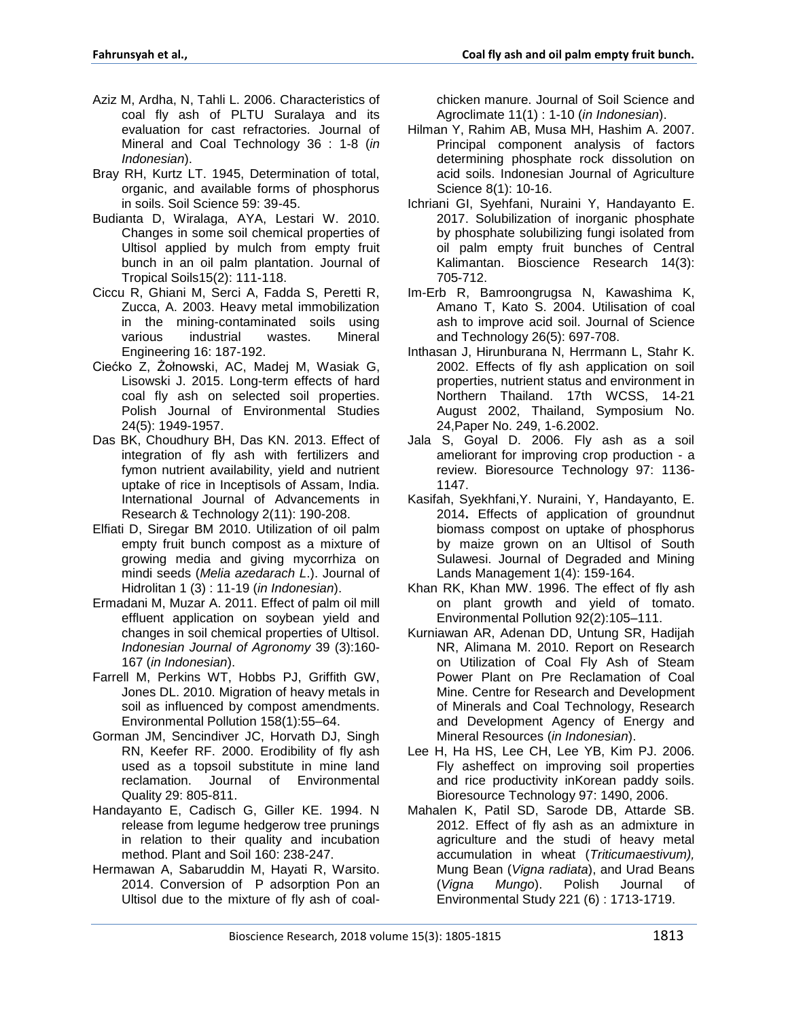- Aziz M, Ardha, N, Tahli L. 2006. Characteristics of coal fly ash of PLTU Suralaya and its evaluation for cast refractories*.* Journal of Mineral and Coal Technology 36 : 1-8 (*in Indonesian*).
- Bray RH, Kurtz LT. 1945, Determination of total, organic, and available forms of phosphorus in soils. Soil Science 59: 39-45.
- Budianta D, Wiralaga, AYA, Lestari W. 2010. Changes in some soil chemical properties of Ultisol applied by mulch from empty fruit bunch in an oil palm plantation. Journal of Tropical Soils15(2): 111-118.
- Ciccu R, Ghiani M, Serci A, Fadda S, Peretti R, Zucca, A. 2003. Heavy metal immobilization in the mining-contaminated soils using various industrial wastes. Mineral Engineering 16: 187-192.
- Ciećko Z, Żołnowski, AC, Madej M, Wasiak G, Lisowski J. 2015. Long-term effects of hard coal fly ash on selected soil properties. Polish Journal of Environmental Studies 24(5): 1949-1957.
- Das BK, Choudhury BH, Das KN. 2013. Effect of integration of fly ash with fertilizers and fymon nutrient availability, yield and nutrient uptake of rice in Inceptisols of Assam, India. International Journal of Advancements in Research & Technology 2(11): 190-208.
- Elfiati D, Siregar BM 2010. Utilization of oil palm empty fruit bunch compost as a mixture of growing media and giving mycorrhiza on mindi seeds (*Melia azedarach L*.). Journal of Hidrolitan 1 (3) : 11-19 (*in Indonesian*).
- Ermadani M, Muzar A. 2011. Effect of palm oil mill effluent application on soybean yield and changes in soil chemical properties of Ultisol. *Indonesian Journal of Agronomy* 39 (3):160- 167 (*in Indonesian*).
- Farrell M, Perkins WT, Hobbs PJ, Griffith GW, Jones DL. 2010. Migration of heavy metals in soil as influenced by compost amendments. Environmental Pollution 158(1):55–64.
- Gorman JM, Sencindiver JC, Horvath DJ, Singh RN, Keefer RF. 2000. Erodibility of fly ash used as a topsoil substitute in mine land reclamation. Journal of Environmental Quality 29: 805-811.
- Handayanto E, Cadisch G, Giller KE. 1994. N release from legume hedgerow tree prunings in relation to their quality and incubation method. Plant and Soil 160: 238-247.
- Hermawan A, Sabaruddin M, Hayati R, Warsito. 2014. Conversion of P adsorption Pon an Ultisol due to the mixture of fly ash of coal-

chicken manure. Journal of Soil Science and Agroclimate 11(1) : 1-10 (*in Indonesian*).

- Hilman Y, Rahim AB, Musa MH, Hashim A. 2007. Principal component analysis of factors determining phosphate rock dissolution on acid soils. Indonesian Journal of Agriculture Science 8(1): 10-16.
- Ichriani GI, Syehfani, Nuraini Y, Handayanto E. 2017. Solubilization of inorganic phosphate by phosphate solubilizing fungi isolated from oil palm empty fruit bunches of Central Kalimantan. Bioscience Research 14(3): 705-712.
- Im-Erb R, Bamroongrugsa N, Kawashima K, Amano T, Kato S. 2004. Utilisation of coal ash to improve acid soil. Journal of Science and Technology 26(5): 697-708.
- Inthasan J, Hirunburana N, Herrmann L, Stahr K. 2002. Effects of fly ash application on soil properties, nutrient status and environment in Northern Thailand. 17th WCSS, 14-21 August 2002, Thailand, Symposium No. 24,Paper No. 249, 1-6.2002.
- Jala S, Goyal D. 2006. Fly ash as a soil ameliorant for improving crop production - a review. Bioresource Technology 97: 1136- 1147.
- Kasifah, Syekhfani,Y. Nuraini, Y, Handayanto, E. 2014**.** Effects of application of groundnut biomass compost on uptake of phosphorus by maize grown on an Ultisol of South Sulawesi. Journal of Degraded and Mining Lands Management 1(4): 159-164.
- Khan RK, Khan MW. 1996. The effect of fly ash on plant growth and yield of tomato. Environmental Pollution 92(2):105–111.
- Kurniawan AR, Adenan DD, Untung SR, Hadijah NR, Alimana M. 2010. Report on Research on Utilization of Coal Fly Ash of Steam Power Plant on Pre Reclamation of Coal Mine. Centre for Research and Development of Minerals and Coal Technology, Research and Development Agency of Energy and Mineral Resources (*in Indonesian*).
- Lee H, Ha HS, Lee CH, Lee YB, Kim PJ. 2006. Fly asheffect on improving soil properties and rice productivity inKorean paddy soils. Bioresource Technology 97: 1490, 2006.
- Mahalen K, Patil SD, Sarode DB, Attarde SB. 2012. Effect of fly ash as an admixture in agriculture and the studi of heavy metal accumulation in wheat (*Triticumaestivum),* Mung Bean (*Vigna radiata*), and Urad Beans (*Vigna Mungo*). Polish Journal of Environmental Study 221 (6) : 1713-1719.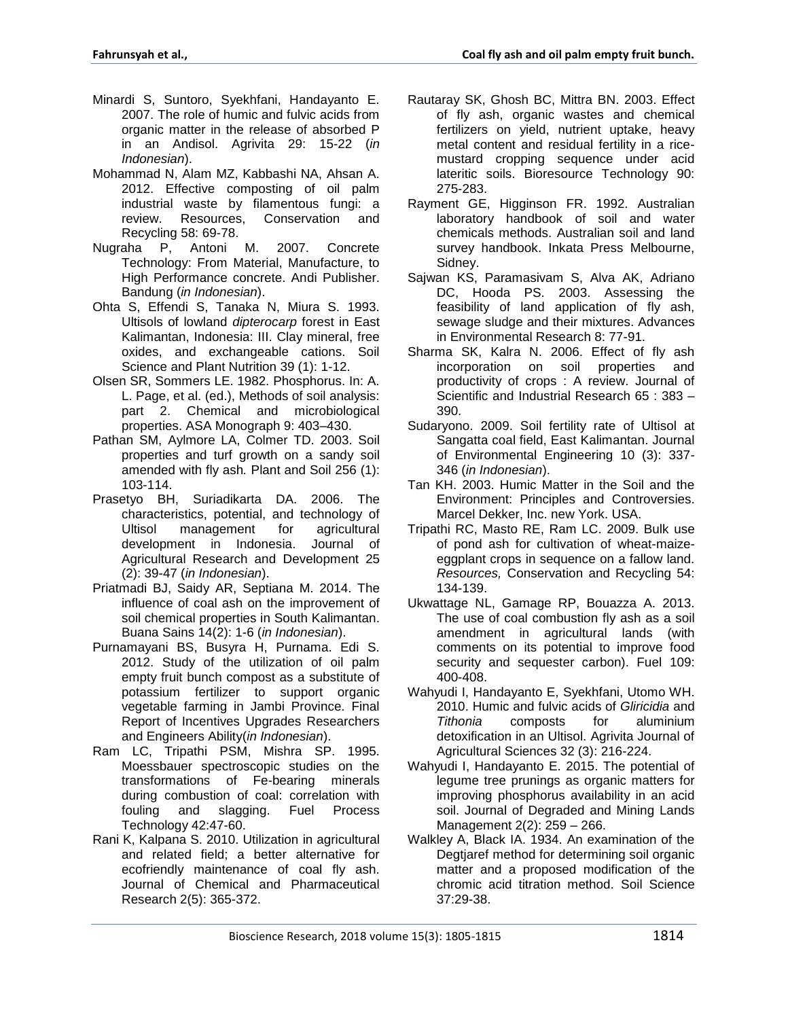- Minardi S, Suntoro, Syekhfani, Handayanto E. 2007. The role of humic and fulvic acids from organic matter in the release of absorbed P in an Andisol. Agrivita 29: 15-22 (*in Indonesian*).
- Mohammad N, Alam MZ, Kabbashi NA, Ahsan A. 2012. Effective composting of oil palm industrial waste by filamentous fungi: a review. Resources, Conservation and Recycling 58: 69-78.
- Nugraha P, Antoni M. 2007. Concrete Technology: From Material, Manufacture, to High Performance concrete. Andi Publisher. Bandung (*in Indonesian*).
- Ohta S, Effendi S, Tanaka N, Miura S. 1993. Ultisols of lowland *dipterocarp* forest in East Kalimantan, Indonesia: III. Clay mineral, free oxides, and exchangeable cations. Soil Science and Plant Nutrition 39 (1): 1-12.
- Olsen SR, Sommers LE. 1982. Phosphorus. In: A. L. Page, et al. (ed.), Methods of soil analysis: part 2. Chemical and microbiological properties. ASA Monograph 9: 403–430.
- Pathan SM, Aylmore LA, Colmer TD. 2003. Soil properties and turf growth on a sandy soil amended with fly ash*.* Plant and Soil 256 (1): 103-114.
- Prasetyo BH, Suriadikarta DA. 2006. The characteristics, potential, and technology of Ultisol management for agricultural development in Indonesia. Journal of Agricultural Research and Development 25 (2): 39-47 (*in Indonesian*).
- Priatmadi BJ, Saidy AR, Septiana M. 2014. The influence of coal ash on the improvement of soil chemical properties in South Kalimantan. Buana Sains 14(2): 1-6 (*in Indonesian*).
- Purnamayani BS, Busyra H, Purnama. Edi S. 2012. Study of the utilization of oil palm empty fruit bunch compost as a substitute of potassium fertilizer to support organic vegetable farming in Jambi Province. Final Report of Incentives Upgrades Researchers and Engineers Ability(*in Indonesian*).
- Ram LC, Tripathi PSM, Mishra SP. 1995. Moessbauer spectroscopic studies on the transformations of Fe-bearing minerals during combustion of coal: correlation with fouling and slagging. Fuel Process Technology 42:47-60.
- Rani K, Kalpana S. 2010. Utilization in agricultural and related field; a better alternative for ecofriendly maintenance of coal fly ash. Journal of Chemical and Pharmaceutical Research 2(5): 365-372.
- Rautaray SK, Ghosh BC, Mittra BN. 2003. Effect of fly ash, organic wastes and chemical fertilizers on yield, nutrient uptake, heavy metal content and residual fertility in a ricemustard cropping sequence under acid lateritic soils. Bioresource Technology 90: 275-283.
- Rayment GE, Higginson FR. 1992. Australian laboratory handbook of soil and water chemicals methods. Australian soil and land survey handbook. Inkata Press Melbourne, Sidney.
- Sajwan KS, Paramasivam S, Alva AK, Adriano DC, Hooda PS. 2003. Assessing the feasibility of land application of fly ash, sewage sludge and their mixtures. Advances in Environmental Research 8: 77-91.
- Sharma SK, Kalra N. 2006. Effect of fly ash incorporation on soil properties and productivity of crops : A review. Journal of Scientific and Industrial Research 65 : 383 – 390.
- Sudaryono. 2009. Soil fertility rate of Ultisol at Sangatta coal field, East Kalimantan. Journal of Environmental Engineering 10 (3): 337- 346 (*in Indonesian*).
- Tan KH. 2003. Humic Matter in the Soil and the Environment: Principles and Controversies. Marcel Dekker, Inc. new York. USA.
- Tripathi RC, Masto RE, Ram LC. 2009. Bulk use of pond ash for cultivation of wheat-maizeeggplant crops in sequence on a fallow land. *Resources,* Conservation and Recycling 54: 134-139.
- Ukwattage NL, Gamage RP, Bouazza A. 2013. The use of coal combustion fly ash as a soil amendment in agricultural lands (with comments on its potential to improve food security and sequester carbon). Fuel 109: 400-408.
- Wahyudi I, Handayanto E, Syekhfani, Utomo WH. 2010. Humic and fulvic acids of *Gliricidia* and *Tithonia* composts for aluminium detoxification in an Ultisol. Agrivita Journal of Agricultural Sciences 32 (3): 216-224.
- Wahyudi I, Handayanto E. 2015. The potential of legume tree prunings as organic matters for improving phosphorus availability in an acid soil. Journal of Degraded and Mining Lands Management 2(2): 259 – 266.
- Walkley A, Black IA. 1934. An examination of the Degtjaref method for determining soil organic matter and a proposed modification of the chromic acid titration method. Soil Science 37:29-38.